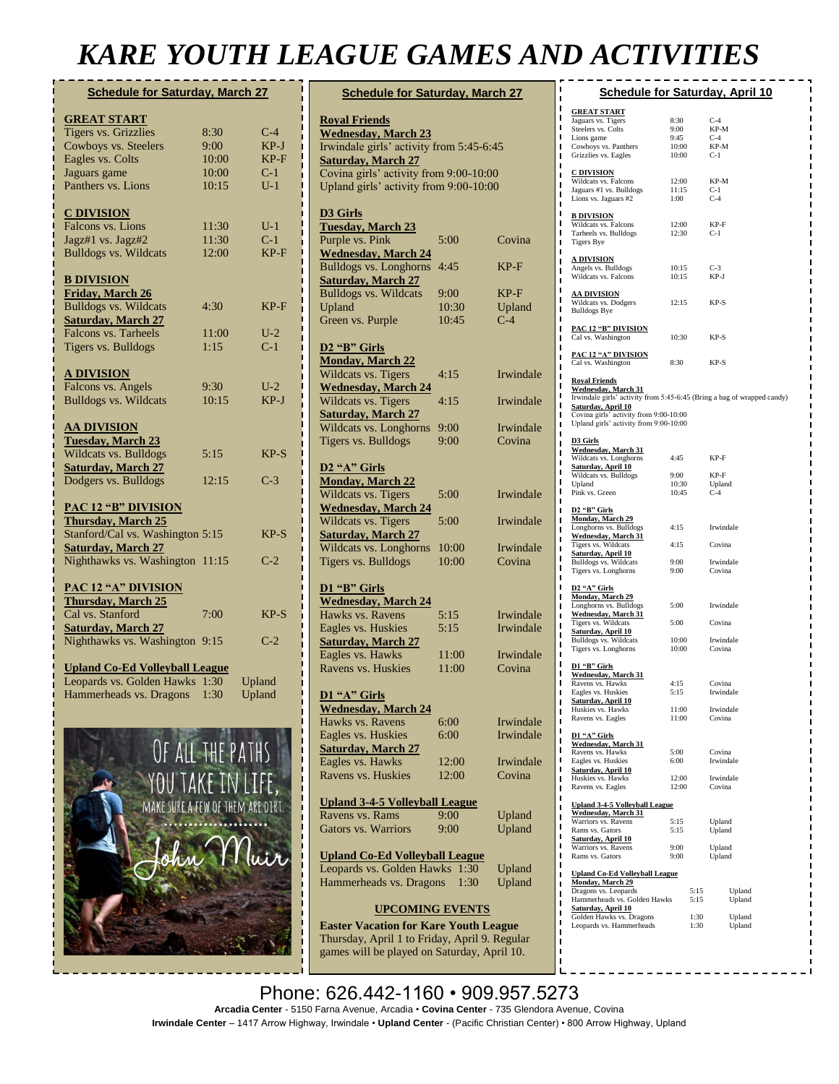## *KARE YOUTH LEAGUE GAMES AND ACTIVITIES*

| <b>Schedule for Saturday, March 27</b>                        |       |        |  |  |
|---------------------------------------------------------------|-------|--------|--|--|
| <b>GREAT START</b>                                            |       |        |  |  |
| <b>Tigers vs. Grizzlies</b>                                   | 8:30  | $C-4$  |  |  |
| Cowboys vs. Steelers                                          | 9:00  | $KP-J$ |  |  |
| Eagles vs. Colts                                              | 10:00 | $KP-F$ |  |  |
| Jaguars game                                                  | 10:00 | $C-1$  |  |  |
| Panthers vs. Lions                                            | 10:15 | $U-1$  |  |  |
| <b>C DIVISION</b>                                             |       |        |  |  |
| Falcons vs. Lions                                             | 11:30 | $U-1$  |  |  |
| Jagz#1 vs. Jagz#2                                             | 11:30 | $C-1$  |  |  |
| <b>Bulldogs vs. Wildcats</b>                                  | 12:00 | $KP-F$ |  |  |
| <b>B DIVISION</b>                                             |       |        |  |  |
| <b>Friday, March 26</b>                                       |       |        |  |  |
| <b>Bulldogs vs. Wildcats</b>                                  | 4:30  | $KP-F$ |  |  |
| <b>Saturday, March 27</b>                                     |       |        |  |  |
| Falcons vs. Tarheels                                          | 11:00 | $U-2$  |  |  |
| Tigers vs. Bulldogs                                           | 1:15  | $C-1$  |  |  |
| <b>A DIVISION</b>                                             |       |        |  |  |
| Falcons vs. Angels                                            | 9:30  | $U-2$  |  |  |
| <b>Bulldogs vs. Wildcats</b>                                  | 10:15 | KP-J   |  |  |
| <b>AA DIVISION</b>                                            |       |        |  |  |
| <b>Tuesday, March 23</b>                                      |       |        |  |  |
| Wildcats vs. Bulldogs                                         | 5:15  | $KP-S$ |  |  |
| <b>Saturday, March 27</b>                                     |       |        |  |  |
| Dodgers vs. Bulldogs                                          | 12:15 | $C-3$  |  |  |
| <b>PAC 12 "B" DIVISION</b>                                    |       |        |  |  |
| <b>Thursday, March 25</b>                                     |       |        |  |  |
| Stanford/Cal vs. Washington 5:15<br><b>Saturday, March 27</b> |       | $KP-S$ |  |  |
| Nighthawks vs. Washington 11:15                               |       | $C-2$  |  |  |
| <b>PAC 12 "A" DIVISION</b>                                    |       |        |  |  |
| <b>Thursday, March 25</b>                                     |       |        |  |  |
| Cal vs. Stanford                                              | 7:00  | $KP-S$ |  |  |
| <b>Saturday, March 27</b>                                     |       |        |  |  |
| Nighthawks vs. Washington                                     | 9:15  | $C-2$  |  |  |
| <b>Upland Co-Ed Volleyball League</b>                         |       |        |  |  |
| Leopards vs. Golden Hawks                                     | 1:30  | Upland |  |  |
| Hammerheads vs. Dragons                                       | 1:30  | Upland |  |  |
|                                                               |       |        |  |  |
|                                                               |       |        |  |  |



*"I have had the good fortune through my God* 

| <b>Schedule for Saturday, March 27</b>                                 |       |           |  |  |
|------------------------------------------------------------------------|-------|-----------|--|--|
| <b>Royal Friends</b>                                                   |       |           |  |  |
| <b>Wednesday, March 23</b><br>Irwindale girls' activity from 5:45-6:45 |       |           |  |  |
| <b>Saturday, March 27</b>                                              |       |           |  |  |
| Covina girls' activity from 9:00-10:00                                 |       |           |  |  |
| Upland girls' activity from 9:00-10:00                                 |       |           |  |  |
| <b>D3 Girls</b>                                                        |       |           |  |  |
| <b>Tuesday, March 23</b>                                               |       |           |  |  |
| Purple vs. Pink                                                        | 5:00  | Covina    |  |  |
| <b>Wednesday, March 24</b>                                             |       |           |  |  |
| <b>Bulldogs vs. Longhorns</b>                                          | 4:45  | KP-F      |  |  |
| <b>Saturday, March 27</b>                                              |       |           |  |  |
| <b>Bulldogs vs. Wildcats</b>                                           | 9:00  | KP-F      |  |  |
| Upland                                                                 | 10:30 | Upland    |  |  |
| Green vs. Purple                                                       | 10:45 | $C-4$     |  |  |
|                                                                        |       |           |  |  |
| D <sub>2</sub> "B" Girls<br><b>Monday, March 22</b>                    |       |           |  |  |
| Wildcats vs. Tigers                                                    | 4:15  | Irwindale |  |  |
|                                                                        |       |           |  |  |
| <b>Wednesday, March 24</b><br>Wildcats vs. Tigers                      | 4:15  | Irwindale |  |  |
| <b>Saturday, March 27</b>                                              |       |           |  |  |
| Wildcats vs. Longhorns                                                 | 9:00  | Irwindale |  |  |
| Tigers vs. Bulldogs                                                    | 9:00  | Covina    |  |  |
|                                                                        |       |           |  |  |
| D2 "A" Girls                                                           |       |           |  |  |
| <b>Monday, March 22</b>                                                |       |           |  |  |
| Wildcats vs. Tigers                                                    | 5:00  | Irwindale |  |  |
| <b>Wednesday</b> , March 24                                            |       |           |  |  |
| Wildcats vs. Tigers                                                    | 5:00  | Irwindale |  |  |
| <b>Saturday, March 27</b>                                              |       |           |  |  |
| Wildcats vs. Longhorns                                                 | 10:00 | Irwindale |  |  |
| Tigers vs. Bulldogs                                                    | 10:00 | Covina    |  |  |
| D1 "B" Girls                                                           |       |           |  |  |
| <b>Wednesday, March 24</b>                                             |       |           |  |  |
| Hawks vs. Ravens                                                       | 5:15  | Irwindale |  |  |
| Eagles vs. Huskies                                                     | 5:15  | Irwindale |  |  |
| <b>Saturday, March 27</b>                                              |       |           |  |  |
| Eagles vs. Hawks                                                       | 11:00 | Irwindale |  |  |
| Ravens vs. Huskies                                                     | 11:00 | Covina    |  |  |
|                                                                        |       |           |  |  |
| D1 "A" Girls                                                           |       |           |  |  |
| <b>Wednesday, March 24</b>                                             |       |           |  |  |
| Hawks vs. Ravens                                                       | 6:00  | Irwindale |  |  |
| Eagles vs. Huskies                                                     | 6:00  | Irwindale |  |  |
| <b>Saturday, March 27</b>                                              |       |           |  |  |
| Eagles vs. Hawks                                                       | 12:00 | Irwindale |  |  |
| Ravens vs. Huskies                                                     | 12:00 | Covina    |  |  |
|                                                                        |       |           |  |  |
| <b>Upland 3-4-5 Volleyball League</b>                                  |       |           |  |  |
| Ravens vs. Rams                                                        | 9:00  | Upland    |  |  |
| <b>Gators vs. Warriors</b>                                             | 9:00  | Upland    |  |  |
| <b>Upland Co-Ed Volleyball League</b>                                  |       |           |  |  |
| Leopards vs. Golden Hawks<br>1:30<br>Upland                            |       |           |  |  |
| Hammerheads vs. Dragons                                                | 1:30  | Upland    |  |  |
|                                                                        |       |           |  |  |
| <b>UPCOMING EVENTS</b>                                                 |       |           |  |  |

**Easter Vacation for Kare Youth League**  Thursday, April 1 to Friday, April 9. Regular games will be played on Saturday, April 10.

| ı      |                                                                                                      |                | <b>Schedule for Saturday, April 10</b> |  |  |  |
|--------|------------------------------------------------------------------------------------------------------|----------------|----------------------------------------|--|--|--|
| ı<br>ı |                                                                                                      |                |                                        |  |  |  |
| ı      | <b>GREAT START</b>                                                                                   |                |                                        |  |  |  |
| ı      | Jaguars vs. Tigers<br>Steelers vs. Colts                                                             | 8:30<br>9:00   | $C-4$<br>KP-M                          |  |  |  |
| ı      | Lions game                                                                                           | 9:45           | $C-4$                                  |  |  |  |
| ı      | Cowboys vs. Panthers                                                                                 | 10:00          | KP-M                                   |  |  |  |
| ı      | Grizzlies vs. Eagles                                                                                 | 10:00          | $C-1$                                  |  |  |  |
| п      | <b>C DIVISION</b>                                                                                    |                |                                        |  |  |  |
| ı      | Wildcats vs. Falcons                                                                                 | 12:00          | KP-M                                   |  |  |  |
| ı<br>ı | Jaguars #1 vs. Bulldogs                                                                              | 11:15          | $C-1$                                  |  |  |  |
| ı      | Lions vs. Jaguars #2                                                                                 | 1:00           | $C-4$                                  |  |  |  |
| ı      | <b>B DIVISION</b>                                                                                    |                |                                        |  |  |  |
| п      | Wildcats vs. Falcons                                                                                 | 12:00          | KP-F                                   |  |  |  |
| ı      | Tarheels vs. Bulldogs                                                                                | 12:30          | $C-1$                                  |  |  |  |
| ı      | <b>Tigers Bye</b>                                                                                    |                |                                        |  |  |  |
| п      |                                                                                                      |                |                                        |  |  |  |
| ı      | <u>A DIVISION</u><br>Angels vs. Bulldogs                                                             | 10:15          | $C-3$                                  |  |  |  |
| ı<br>п | Wildcats vs. Falcons                                                                                 | 10:15          | KP-J                                   |  |  |  |
| ı      |                                                                                                      |                |                                        |  |  |  |
| ı      | <u>AA DIVISION</u>                                                                                   |                |                                        |  |  |  |
| ı      | Wildcats vs. Dodgers<br><b>Bulldogs Bye</b>                                                          | 12:15          | KP-S                                   |  |  |  |
| ı      |                                                                                                      |                |                                        |  |  |  |
| ı      | <b>PAC 12 "B" DIVISION</b>                                                                           |                |                                        |  |  |  |
| п      | Cal vs. Washington                                                                                   | 10:30          | KP-S                                   |  |  |  |
| ı      |                                                                                                      |                |                                        |  |  |  |
| ı      | PAC 12 "A" DIVISION<br>Cal vs. Washington                                                            | 8:30           | $KP-S$                                 |  |  |  |
| п      |                                                                                                      |                |                                        |  |  |  |
| ı<br>ı | <b>Royal Friends</b>                                                                                 |                |                                        |  |  |  |
| п      | <b>Wednesday, March 31</b>                                                                           |                |                                        |  |  |  |
| ı      | Irwindale girls' activity from 5:45-6:45 (Bring a bag of wrapped candy)<br><b>Saturday, April 10</b> |                |                                        |  |  |  |
| ı      | Covina girls' activity from 9:00-10:00                                                               |                |                                        |  |  |  |
| п      | Upland girls' activity from 9:00-10:00                                                               |                |                                        |  |  |  |
| ı      |                                                                                                      |                |                                        |  |  |  |
| ı      | D3 Girls<br>Wednesday, March 31                                                                      |                |                                        |  |  |  |
| ı      | Wildcats vs. Longhorns                                                                               | 4:45           | KP-F                                   |  |  |  |
| ı      | <b>Saturday, April 10</b>                                                                            |                |                                        |  |  |  |
| ı<br>ı | Wildcats vs. Bulldogs                                                                                | 9:00           | KP-F                                   |  |  |  |
| ı      | Upland                                                                                               | 10:30<br>10:45 | Upland<br>$C-4$                        |  |  |  |
| ı      | Pink vs. Green                                                                                       |                |                                        |  |  |  |
| ı      | D <sub>2</sub> "B" Girls                                                                             |                |                                        |  |  |  |
| ı      | <b>Monday, March 29</b>                                                                              |                |                                        |  |  |  |
| ı      | Longhorns vs. Bulldogs                                                                               | 4:15           | Irwindale                              |  |  |  |
| ı      | Wednesday, March 31<br>Tigers vs. Wildcats                                                           | 4:15           | Covina                                 |  |  |  |
| ı      | <u>Saturday, April 10</u>                                                                            |                |                                        |  |  |  |
| ı<br>ı | Bulldogs vs. Wildcats                                                                                | 9:00           | Irwindale                              |  |  |  |
| ı      | Tigers vs. Longhorns                                                                                 | 9:00           | Covina                                 |  |  |  |
| ı      | D <sub>2</sub> "A" Girls                                                                             |                |                                        |  |  |  |
| ı      | <b>Monday</b> , March 29                                                                             |                |                                        |  |  |  |
| ı      | Longhorns vs. Bulldogs                                                                               | 5:00           | Irwindale                              |  |  |  |
| ı      | <b>Wednesday, March 31</b><br>Tigers vs. Wildcats                                                    | 5:00           | Covina                                 |  |  |  |
| п      | Saturday, April 10                                                                                   |                |                                        |  |  |  |
| ı      | Bulldogs vs. Wildcats                                                                                | 10:00          | Irwindale                              |  |  |  |
| ı<br>п | Tigers vs. Longhorns                                                                                 | 10:00          | Covina                                 |  |  |  |
| ı      | D1 "B" Girls                                                                                         |                |                                        |  |  |  |
| ı      | Wednesday, March 31                                                                                  |                |                                        |  |  |  |
| п      | Ravens vs. Hawks                                                                                     | 4:15           | Covina                                 |  |  |  |
| ı      | Eagles vs. Huskies                                                                                   | 5:15           | Irwindale                              |  |  |  |
| ı      | <b>Saturday, April 10</b><br>Huskies vs. Hawks                                                       |                |                                        |  |  |  |
| п      | Ravens vs. Eagles                                                                                    | 11:00<br>11:00 | Irwindale<br>Covina                    |  |  |  |
| ı      |                                                                                                      |                |                                        |  |  |  |
| ı<br>п | D1 "A" Girls                                                                                         |                |                                        |  |  |  |
| ı      | <b>Wednesday</b> , March 31<br>Ravens vs. Hawks                                                      | 5:00           | Covina                                 |  |  |  |
| ı      | Eagles vs. Huskies                                                                                   | 6:00           | Irwindale                              |  |  |  |
| п      | Saturday, April 10                                                                                   |                |                                        |  |  |  |
| ı      | Huskies vs. Hawks                                                                                    | 12:00          | Irwindale                              |  |  |  |
| ı      | Ravens vs. Eagles                                                                                    | 12:00          | Covina                                 |  |  |  |
| п      | <b>Upland 3-4-5 Volleyball League</b>                                                                |                |                                        |  |  |  |
| ı<br>ı | <b>Wednesday, March 31</b>                                                                           |                |                                        |  |  |  |
| п      | Warriors vs. Ravens                                                                                  | 5:15           | Upland                                 |  |  |  |
| ı      | Rams vs. Gators                                                                                      | 5:15           | Upland                                 |  |  |  |
| I      | Saturday, April 10<br>Warriors vs. Ravens                                                            | 9:00           | Upland                                 |  |  |  |
| п      | Rams vs. Gators                                                                                      | 9:00           | Upland                                 |  |  |  |
| ı      |                                                                                                      |                |                                        |  |  |  |
| ı      | <b>Upland Co-Ed Volleyball League</b>                                                                |                |                                        |  |  |  |
| п      | <b>Monday, March 29</b>                                                                              |                |                                        |  |  |  |
| ı      | Dragons vs. Leopards<br>Hammerheads vs. Golden Hawks                                                 | 5:15<br>5:15   | Upland<br>Upland                       |  |  |  |
| ı      | <b>Saturday, April 10</b>                                                                            |                |                                        |  |  |  |
| п<br>ı | Golden Hawks vs. Dragons                                                                             | 1:30           | Upland                                 |  |  |  |
|        | Leopards vs. Hammerheads                                                                             | 1:30           | Upland                                 |  |  |  |

Phone: 626.442-1160 • 909.957.5273 *that I should never abandon his people whom I*  **Arcadia Center** - 5150 Farna Avenue, Arcadia • **Covina Center** - 735 Glendora Avenue, Covina *have acquired in the extremities of the earth."* **Irwindale Center** – 1417 Arrow Highway, Irwindale • **Upland Center** - (Pacific Christian Center) • 800 Arrow Highway, Upland **[Saint Patrick](https://www.brainyquote.com/authors/saint-patrick-quotes)**